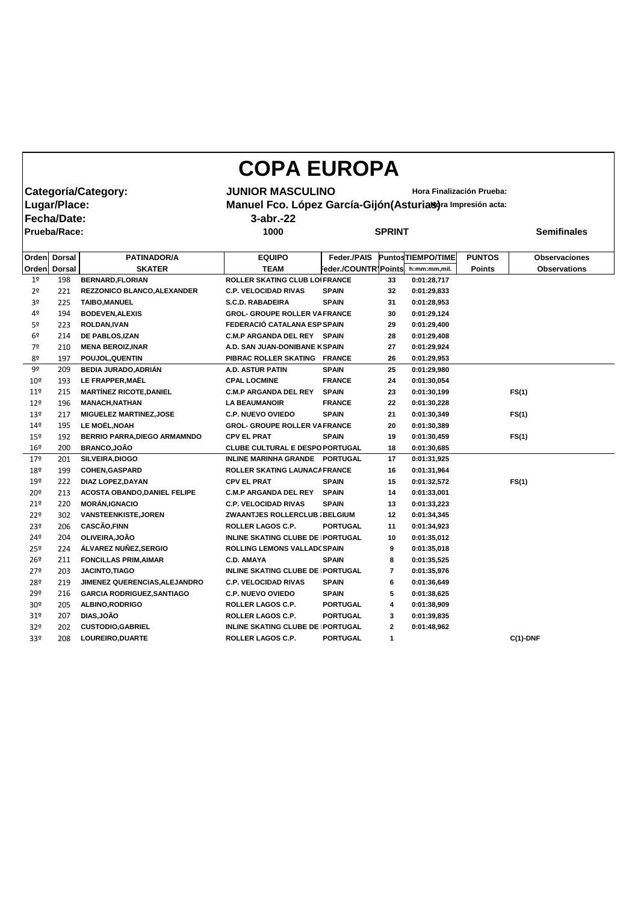|                     |                     |                                     | <b>COPA EUROPA</b>                                          |                      |                           |                          |               |                      |
|---------------------|---------------------|-------------------------------------|-------------------------------------------------------------|----------------------|---------------------------|--------------------------|---------------|----------------------|
| Categoría/Category: |                     |                                     | <b>JUNIOR MASCULINO</b>                                     |                      | Hora Finalización Prueba: |                          |               |                      |
|                     | Lugar/Place:        |                                     | Manuel Fco. López García-Gijón (Asturias)ra Impresión acta: |                      |                           |                          |               |                      |
|                     | Fecha/Date:         |                                     | $3$ -abr.- $22$                                             |                      |                           |                          |               |                      |
|                     | <b>Prueba/Race:</b> |                                     | 1000                                                        |                      | <b>SPRINT</b>             |                          |               | <b>Semifinales</b>   |
|                     |                     |                                     |                                                             |                      |                           |                          |               |                      |
| Orden               | <b>Dorsal</b>       | <b>PATINADOR/A</b>                  | <b>EQUIPO</b>                                               | Feder./PAIS          |                           | <b>PuntosTIEMPO/TIME</b> | <b>PUNTOS</b> | <b>Observaciones</b> |
| <b>Orden</b>        | <b>Dorsal</b>       | <b>SKATER</b>                       | <b>TEAM</b>                                                 | Feder./COUNTR Points |                           | h:mm:mm,mil.             | <b>Points</b> | <b>Observations</b>  |
| 1 <sup>o</sup>      | 198                 | <b>BERNARD, FLORIAN</b>             | <b>ROLLER SKATING CLUB LOIFRANCE</b>                        |                      | 33                        | 0:01:28,717              |               |                      |
| 2 <sup>o</sup>      | 221                 | REZZONICO BLANCO, ALEXANDER         | <b>C.P. VELOCIDAD RIVAS</b>                                 | <b>SPAIN</b>         | 32                        | 0:01:29,833              |               |                      |
| 3 <sup>o</sup>      | 225                 | <b>TAIBO, MANUEL</b>                | <b>S.C.D. RABADEIRA</b>                                     | <b>SPAIN</b>         | 31                        | 0:01:28,953              |               |                      |
| 4º                  | 194                 | <b>BODEVEN, ALEXIS</b>              | <b>GROL- GROUPE ROLLER VA FRANCE</b>                        |                      | 30                        | 0:01:29,124              |               |                      |
| 5º                  | 223                 | ROLDAN, IVAN                        | FEDERACIÓ CATALANA ESP SPAIN                                |                      | 29                        | 0:01:29,400              |               |                      |
| 6 <sup>9</sup>      | 214                 | DE PABLOS, IZAN                     | <b>C.M.P ARGANDA DEL REY SPAIN</b>                          |                      | 28                        | 0:01:29,408              |               |                      |
| 7º                  | 210                 | <b>MENA BEROIZ, INAR</b>            | A.D. SAN JUAN-DONIBANE K SPAIN                              |                      | 27                        | 0:01:29,924              |               |                      |
| 8º                  | 197                 | POUJOL, QUENTIN                     | PIBRAC ROLLER SKATING FRANCE                                |                      | 26                        | 0:01:29,953              |               |                      |
| 9º                  | 209                 | <b>BEDIA JURADO, ADRIÁN</b>         | <b>A.D. ASTUR PATIN</b>                                     | <b>SPAIN</b>         | 25                        | 0:01:29,980              |               |                      |
| 10 <sup>°</sup>     | 193                 | LE FRAPPER, MAËL                    | <b>CPAL LOCMINE</b>                                         | <b>FRANCE</b>        | 24                        | 0:01:30,054              |               |                      |
| 11 <sup>°</sup>     | 215                 | <b>MARTÍNEZ RICOTE, DANIEL</b>      | <b>C.M.P ARGANDA DEL REY</b>                                | <b>SPAIN</b>         | 23                        | 0:01:30,199              |               | FS(1)                |
| 12 <sup>°</sup>     | 196                 | <b>MANACH, NATHAN</b>               | <b>LA BEAUMANOIR</b>                                        | <b>FRANCE</b>        | 22                        | 0:01:30,228              |               |                      |
| 13º                 | 217                 | <b>MIGUELEZ MARTINEZ, JOSE</b>      | <b>C.P. NUEVO OVIEDO</b>                                    | <b>SPAIN</b>         | 21                        | 0:01:30,349              |               | FS(1)                |
| 149                 | 195                 | <b>LE MOËL, NOAH</b>                | <b>GROL- GROUPE ROLLER VA FRANCE</b>                        |                      | 20                        | 0:01:30,389              |               |                      |
| 15º                 | 192                 | <b>BERRIO PARRA, DIEGO ARMAMNDO</b> | <b>CPV EL PRAT</b>                                          | <b>SPAIN</b>         | 19                        | 0:01:30,459              |               | FS(1)                |
| $16^{\circ}$        | 200                 | <b>BRANCO,JOÃO</b>                  | <b>CLUBE CULTURAL E DESPO PORTUGAL</b>                      |                      | 18                        | 0:01:30,685              |               |                      |
| 179                 | 201                 | SILVEIRA, DIOGO                     | INLINE MARINHA GRANDE PORTUGAL                              |                      | 17                        | 0:01:31,925              |               |                      |
| 18º                 | 199                 | <b>COHEN, GASPARD</b>               | ROLLER SKATING LAUNACA FRANCE                               |                      | 16                        | 0:01:31,964              |               |                      |
| 19º                 | 222                 | <b>DIAZ LOPEZ, DAYAN</b>            | <b>CPV EL PRAT</b>                                          | <b>SPAIN</b>         | 15                        | 0:01:32,572              |               | FS(1)                |
| 20º                 | 213                 | <b>ACOSTA OBANDO, DANIEL FELIPE</b> | <b>C.M.P ARGANDA DEL REY SPAIN</b>                          |                      | 14                        | 0:01:33,001              |               |                      |
| 21°                 | 220                 | <b>MORÁN, IGNACIO</b>               | <b>C.P. VELOCIDAD RIVAS</b>                                 | <b>SPAIN</b>         | 13                        | 0:01:33,223              |               |                      |
| 22°                 | 302                 | <b>VANSTEENKISTE, JOREN</b>         | ZWAANTJES ROLLERCLUB ; BELGIUM                              |                      | 12                        | 0:01:34,345              |               |                      |
| 23 <sup>°</sup>     | 206                 | <b>CASCÃO,FINN</b>                  | ROLLER LAGOS C.P.                                           | <b>PORTUGAL</b>      | 11                        | 0:01:34,923              |               |                      |
| 24º                 | 204                 | OLIVEIRA, JOÃO                      | <b>INLINE SKATING CLUBE DE PORTUGAL</b>                     |                      | 10                        | 0:01:35,012              |               |                      |
| 25º                 | 224                 | ÁLVAREZ NUÑEZ, SERGIO               | <b>ROLLING LEMONS VALLADC SPAIN</b>                         |                      | 9                         | 0:01:35,018              |               |                      |
| 26º                 | 211                 | <b>FONCILLAS PRIM, AIMAR</b>        | <b>C.D. AMAYA</b>                                           | <b>SPAIN</b>         | 8                         | 0:01:35,525              |               |                      |
| 27 <sup>°</sup>     | 203                 | <b>JACINTO, TIAGO</b>               | <b>INLINE SKATING CLUBE DE PORTUGAL</b>                     |                      | 7                         | 0:01:35,976              |               |                      |
| 28º                 | 219                 | JIMENEZ QUERENCIAS, ALEJANDRO       | <b>C.P. VELOCIDAD RIVAS</b>                                 | <b>SPAIN</b>         | 6                         | 0:01:36,649              |               |                      |
| 29º                 | 216                 | <b>GARCIA RODRIGUEZ, SANTIAGO</b>   | <b>C.P. NUEVO OVIEDO</b>                                    | <b>SPAIN</b>         | 5                         | 0:01:38,625              |               |                      |
| 30 <sup>o</sup>     | 205                 | <b>ALBINO, RODRIGO</b>              | ROLLER LAGOS C.P.                                           | <b>PORTUGAL</b>      | 4                         | 0:01:38,909              |               |                      |
| 31 <sup>o</sup>     | 207                 | DIAS, JOÃO                          | ROLLER LAGOS C.P.                                           | <b>PORTUGAL</b>      | 3                         | 0:01:39,835              |               |                      |
| 32 <sup>o</sup>     | 202                 | <b>CUSTODIO, GABRIEL</b>            | <b>INLINE SKATING CLUBE DE PORTUGAL</b>                     |                      | 2                         | 0:01:48,962              |               |                      |
| 33 <sup>o</sup>     | 208                 | LOUREIRO, DUARTE                    | <b>ROLLER LAGOS C.P.</b>                                    | <b>PORTUGAL</b>      | $\mathbf 1$               |                          |               | $C(1)$ -DNF          |